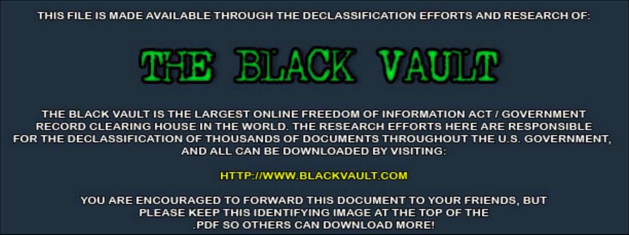THIS FILE IS MADE AVAILABLE THROUGH THE DECLASSIFICATION EFFORTS AND RESEARCH OF:



THE BLACK VAULT IS THE LARGEST ONLINE FREEDOM OF INFORMATION ACT / GOVERNMENT RECORD CLEARING HOUSE IN THE WORLD. THE RESEARCH EFFORTS HERE ARE RESPONSIBLE FOR THE DECLASSIFICATION OF THOUSANDS OF DOCUMENTS THROUGHOUT THE U.S. GOVERNMENT, AND ALL CAN BE DOWNLOADED BY VISITING:

**HTTP://WWW.BLACKVAULT.COM** 

YOU ARE ENCOURAGED TO FORWARD THIS DOCUMENT TO YOUR FRIENDS, BUT PLEASE KEEP THIS IDENTIFYING IMAGE AT THE TOP OF THE PDF SO OTHERS CAN DOWNLOAD MORE!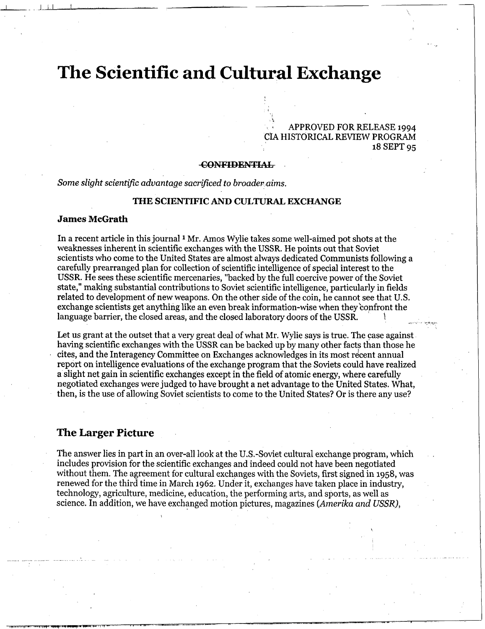# **The Scientific and Cultural Exchange**

**<sup>3</sup>**APPROVED FOR RELEASE 1994 **CIA** HISTORICAL REVIEW PROGRAM 18 Cultural Exchange<br>
APPROVED FOR RELEASE 1994<br>
CIA HISTORICAL REVIEW PROGRAM<br>
18 SEPT 95<br>
FONFIDENTIAL<br>
There to broader aims.<br>
IC AND CULTURAL EXCHANGE

.

*L*  **I** 

*Some slight scientij5c advantage sacrificed to broader aims.* 

## **THE SCIENTIFIC AND CULTURAL EXCHANGE**

#### **James McGrath**

In a recent article in this journal **1** Mr. *Amos* Wylie takes some well-aimed pot shots at the weaknesses inherent in scientific exchanges with the USSR. He points out that Soviet scientists who come to the United States are almost always dedicated Communists following a carefully prearranged plan for collection of scientific intelligence of special interest to the **USSR.** He sees these scientific mercenaries, "backed by the full coercive power of the Soviet state," making substantial contributions to Soviet scientific intelligence, particularly in fields related to development of new weapons. On the other side of the coin, he cannot see that U.S. exchange scientists get anything like an even break information-wise when they 'confront the language barrier, the closed areas, and the closed laboratory doors of the USSR.

Let us grant at the outset that a very great deal of what Mr. Wylie says is true. The case against having scientific exchanges with the USSR can be backed up by many other facts than those he cites, and the Interagency Committee on Exchanges acknowledges in its most recent annual report on intelligence evaluations of the exchange program that the Soviets could have realized a slight net gain in scientific exchanges except in the field of atomic energy, where carefully negotiated exchanges were judged to have brought a net advantage to the United States. What, then, is the use of allowing Soviet scientists to come to the United States? Or is there any use?

#### **The Larger Picture**

The answer lies in part in an over-all look at the U.S.-Soviet cultural exchange program, which includes provision for the scientific exchanges and indeed could not have been negotiated without them. The agreement for cultural exchanges with the Soviets, first signed in 1958, was renewed for the third time in March 1962. Under it, exchanges have taken place in industry, technology, agriculture, medicine, education, the performing arts, and sports, as well as science. In addition, we have exchanged motion pictures, magazines (Amerika and USSR),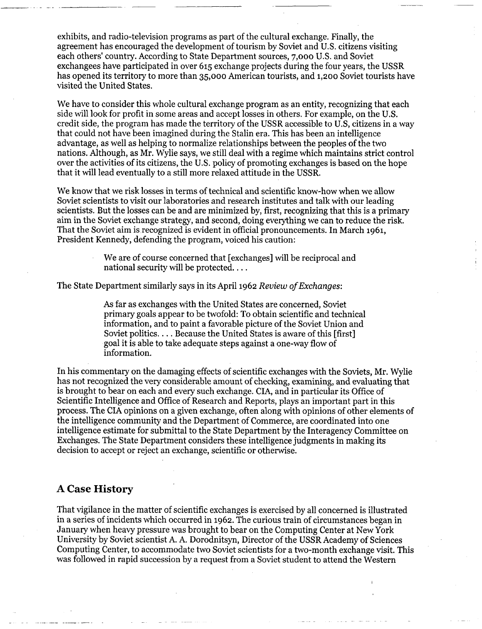exhibits, and radio-television programs as part of the cultural exchange. Finally, the agreement has encouraged the development of tourism by Soviet and U.S. citizens visiting each others' country. According to State Department sources, 7,000 **U.S.** and Soviet exchangees have participated in over **615** exchange projects during the four years, the USSR has opened its territory to more than **35,000** American tourists, and **1,200** Soviet tourists have visited the United States.

We have to consider this whole cultural exchange program as an entity, recognizing that each side will look for profit in some areas and accept losses in others. For example, on the **U.S.**  credit side, the program has made the territory of the USSR accessible to U.S, citizens in a way that could not have been imagined during the Stalin era. This has been an intelligence advantage, as well as helping to normalize relationships between the peoples of the two nations. Although, as Mr. Wylie says, we still deal with a regime which maintains strict control over the activities of its citizens, the U.S. policy of promoting exchanges is based on the hope that it will lead eventually to a still more relaxed attitude in the USSR.

We know that we risk losses in terms of technical and scientific know-how when we allow Soviet scientists to visit our laboratories and research institutes and talk with our leading scientists. But the losses can be and are minimized by, first, recognizing that this is a primary aim in the Soviet exchange strategy, and second, doing everything we can to reduce the risk. That the Soviet aim is recognized is evident in official pronouncements. In March **1961,**  President Kennedy, defending the program, voiced his caution:

> We are of course concerned that [exchanges] will be reciprocal and national security will be protected. . . .

I

The State Department similarly says in its April **1962** *Review ofExchanges:* 

**As** far as exchanges with the United States are concerned, Soviet primary goals appear to be twofold: To obtain scientific and technical information, and to paint a favorable picture of the Soviet Union and Soviet politics. . . . Because the United States is aware of this [first] goal it is able to take adequate steps against a one-way flow of information.

In his commentary on the damaging effects of scientific exchanges with the Soviets, Mr. Wylie has not recognized the very considerable amount of checking, examining, and evaluating that is brought to bear on each and every such exchange. CIA, and in particular its Ofice of Scientific Intelligence and Office of Research and Reports, plays an important part in this process. The CIA opinions on a given exchange, often along with opinions of other elements of the intelligence community and the Department of Commerce, are coordinated into one intelligence estimate for submittal to the State Department by the Interagency Committee on Exchanges. The State Department considers these intelligence judgments in making its decision to accept or reject an exchange, scientific or otherwise.

## **A Case History**

That vigilance in the matter of scientific exchanges is exercised by all concerned is illustrated in a series of incidents which occurred in **1962.** The curious train of circumstances began in January when heavy pressure was brought to bear on the Computing Center at New York University by Soviet scientist A. A. Dorodnitsyn, Director of the USSR Academy of Sciences Computing Center, to accommodate two Soviet scientists for a two-month exchange visit. This was followed in rapid succession by a request from a Soviet student to attend the Western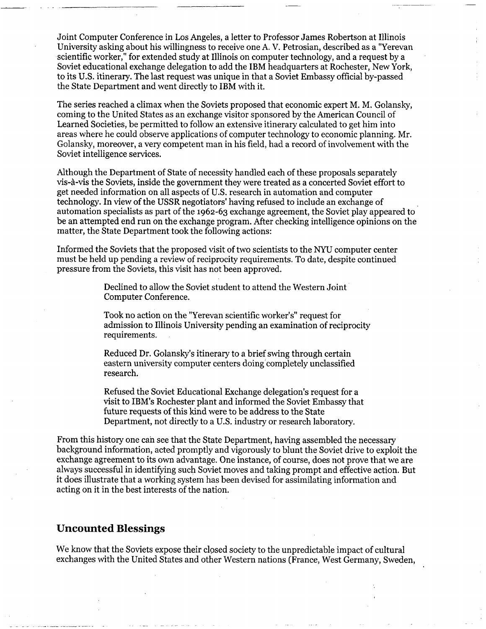Joint Computer Conference in Los Angeles, a letter to Professor James Robertson at Illinois University asking about his willingness to receive one **A.** V. Petrosian, described as a "Yerevan scientific worker," for extended study at Illinois on computer technology, and a request by a Soviet educational exchange delegation to add the IBM headquarters at Rochester, New York, to its U.S. itinerary. The last request was unique in that a Soviet Embassy official by-passed the State Department and went directly to IBM with it.

The series reached a climax when the Soviets proposed that economic expert M. M. Golansky, coming to the United States as an exchange visitor sponsored by the American Council of Learned Societies, be permitted to follow an extensive itinerary calculated to get him into areas where he could observe applications of computer technology to economic planning. Mr. Golansky, moreover, a very competent man in his field, had a record of involvement with the Soviet intelligence services.

Although the Department of State of necessity handled each of these proposals separately vis-à-vis the Soviets, inside the government they were treated as a concerted Soviet effort to get needed information on all aspects of U.S. research in automation and computer technology. In view of the USSR negotiators' having refused to include an exchange of automation specialists as part of the 1962-63 exchange agreement, the Soviet play appeared to be an attempted end run on the exchange program. After checking intelligence opinions on the matter, the State Department took the following actions:

Informed the Soviets that the proposed visit of two scientists to the NYU computer center must be held up pending a review of reciprocity requirements. To date, despite continued pressure from the Soviets, this visit has not been approved.

> Declined to allow the Soviet student to attend the Western Joint Computer Conference.

Took no action on the "Yerevan scientific worker's" request for admission to Illinois University pending an examination of reciprocity requirements.

Reduced Dr. Golansky's itinerary to a brief swing through certain eastern university computer centers doing completely unclassified research.

Refused the Soviet Educational Exchange delegation's request for a visit to IBM's Rochester plant and informed the Soviet Embassy that future requests of this kind were to be address to the State Department, not directly to a U.S. industry or research laboratory.

From this history one can see that the State Department, having assembled the necessary background information, acted promptly and vigorously to blunt the Soviet drive to exploit the exchange agreement to its own advantage. One instance, of course, does not prove that we are always successful in identifying such Soviet moves and taking prompt and effective action. But it does illustrate that a working system has been devised for assimilating information and acting on it in the best interests of the nation.

# **Uncounted Blessings**

We know that the Soviets expose their closed society to the unpredictable impact of cultural exchanges with the United States and other Western nations (France, West Germany, Sweden,